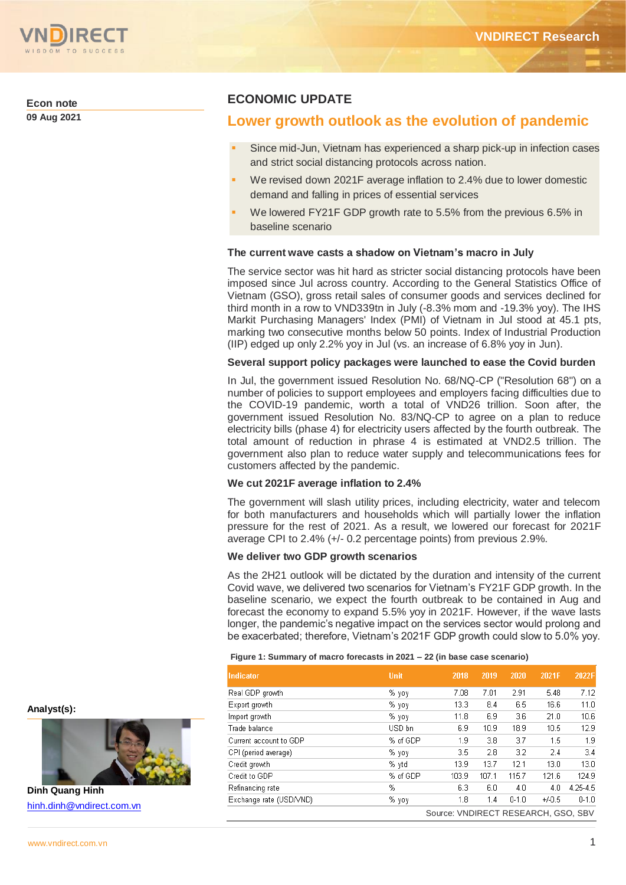

**Econ note**

**09 Aug 2021**

# **ECONOMIC UPDATE**

# **Lower growth outlook as the evolution of pandemic**

- Since mid-Jun, Vietnam has experienced a sharp pick-up in infection cases and strict social distancing protocols across nation.
- We revised down 2021F average inflation to 2.4% due to lower domestic demand and falling in prices of essential services
- We lowered FY21F GDP growth rate to 5.5% from the previous 6.5% in baseline scenario

# **The current wave casts a shadow on Vietnam's macro in July**

The service sector was hit hard as stricter social distancing protocols have been imposed since Jul across country. According to the General Statistics Office of Vietnam (GSO), gross retail sales of consumer goods and services declined for third month in a row to VND339tn in July (-8.3% mom and -19.3% yoy). The IHS Markit Purchasing Managers' Index (PMI) of Vietnam in Jul stood at 45.1 pts, marking two consecutive months below 50 points. Index of Industrial Production (IIP) edged up only 2.2% yoy in Jul (vs. an increase of 6.8% yoy in Jun).

# **Several support policy packages were launched to ease the Covid burden**

In Jul, the government issued Resolution No. 68/NQ-CP ("Resolution 68") on a number of policies to support employees and employers facing difficulties due to the COVID-19 pandemic, worth a total of VND26 trillion. Soon after, the government issued Resolution No. 83/NQ-CP to agree on a plan to reduce electricity bills (phase 4) for electricity users affected by the fourth outbreak. The total amount of reduction in phrase 4 is estimated at VND2.5 trillion. The government also plan to reduce water supply and telecommunications fees for customers affected by the pandemic.

# **We cut 2021F average inflation to 2.4%**

The government will slash utility prices, including electricity, water and telecom for both manufacturers and households which will partially lower the inflation pressure for the rest of 2021. As a result, we lowered our forecast for 2021F average CPI to 2.4% (+/- 0.2 percentage points) from previous 2.9%.

# **We deliver two GDP growth scenarios**

As the 2H21 outlook will be dictated by the duration and intensity of the current Covid wave, we delivered two scenarios for Vietnam's FY21F GDP growth. In the baseline scenario, we expect the fourth outbreak to be contained in Aug and forecast the economy to expand 5.5% yoy in 2021F. However, if the wave lasts longer, the pandemic's negative impact on the services sector would prolong and be exacerbated; therefore, Vietnam's 2021F GDP growth could slow to 5.0% yoy.

## **Figure 1: Summary of macro forecasts in 2021 – 22 (in base case scenario)**

| <b>Indicator</b>        | <b>Unit</b> | 2018                                | 2019  | 2020      | 2021F    | 2022F     |
|-------------------------|-------------|-------------------------------------|-------|-----------|----------|-----------|
| Real GDP growth         | % үоү       | 7.08                                | 7.01  | 2.91      | 5.48     | 7.12      |
| Export growth           | % γογ       | 13.3                                | 8.4   | 6.5       | 16.6     | 11.0      |
| Import growth           | % γογ       | 11.8                                | 6.9   | 3.6       | 21.0     | 10.6      |
| Trade balance           | USD bn      | 6.9                                 | 10.9  | 18.9      | 10.5     | 12.9      |
| Current account to GDP  | % of GDP    | 1.9                                 | 3.8   | 3.7       | 1.5      | 1.9       |
| CPI (period average)    | % γογ       | 3.5                                 | 2.8   | 3.2       | 2.4      | 3.4       |
| Credit growth           | % ytd       | 13.9                                | 13.7  | 12.1      | 13.0     | 13.0      |
| Credit to GDP           | % of GDP    | 103.9                               | 107.1 | 115.7     | 121.6    | 124.9     |
| Refinancing rate        | %           | 6.3                                 | 6.0   | 4.0       | 4.0      | 4.25-4.5  |
| Exchange rate (USD/VND) | % γογ       | 1.8                                 | 1.4   | $0 - 1.0$ | $+/-0.5$ | $0 - 1.0$ |
|                         |             | Source: VNDIRECT RESEARCH, GSO, SBV |       |           |          |           |

**Analyst(s):**



**Dinh Quang Hinh** [hinh.dinh@vndirect.com.vn](mailto:hinh.dinh@vndirect.com.vn)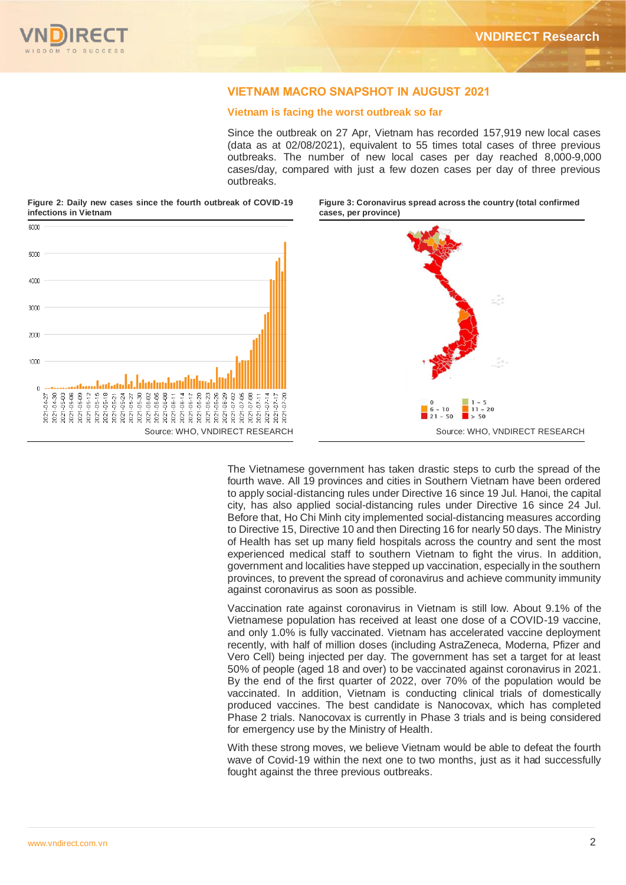# VIETNAM MACRO SNAPSHOT IN AUGUST 2021

## **Vietnam is facing the worst outbreak so far**

Since the outbreak on 27 Apr, Vietnam has recorded 157,919 new local cases (data as at 02/08/2021), equivalent to 55 times total cases of three previous outbreaks. The number of new local cases per day reached 8,000-9,000 cases/day, compared with just a few dozen cases per day of three previous outbreaks.

**Figure 2: Daily new cases since the fourth outbreak of COVID-19 infections in Vietnam** 



**Figure 3: Coronavirus spread across the country (total confirmed cases, per province)** 



The Vietnamese government has taken drastic steps to curb the spread of the fourth wave. All 19 provinces and cities in Southern Vietnam have been ordered to apply social-distancing rules under Directive 16 since 19 Jul. Hanoi, the capital city, has also applied social-distancing rules under Directive 16 since 24 Jul. Before that, Ho Chi Minh city implemented social-distancing measures according to Directive 15, Directive 10 and then Directing 16 for nearly 50 days. The Ministry of Health has set up many field hospitals across the country and sent the most experienced medical staff to southern Vietnam to fight the virus. In addition, government and localities have stepped up vaccination, especially in the southern provinces, to prevent the spread of coronavirus and achieve community immunity against coronavirus as soon as possible.

Vaccination rate against coronavirus in Vietnam is still low. About 9.1% of the Vietnamese population has received at least one dose of a COVID-19 vaccine, and only 1.0% is fully vaccinated. Vietnam has accelerated vaccine deployment recently, with half of million doses (including AstraZeneca, Moderna, Pfizer and Vero Cell) being injected per day. The government has set a target for at least 50% of people (aged 18 and over) to be vaccinated against coronavirus in 2021. By the end of the first quarter of 2022, over 70% of the population would be vaccinated. In addition, Vietnam is conducting clinical trials of domestically produced vaccines. The best candidate is Nanocovax, which has completed Phase 2 trials. Nanocovax is currently in Phase 3 trials and is being considered for emergency use by the Ministry of Health.

With these strong moves, we believe Vietnam would be able to defeat the fourth wave of Covid-19 within the next one to two months, just as it had successfully fought against the three previous outbreaks.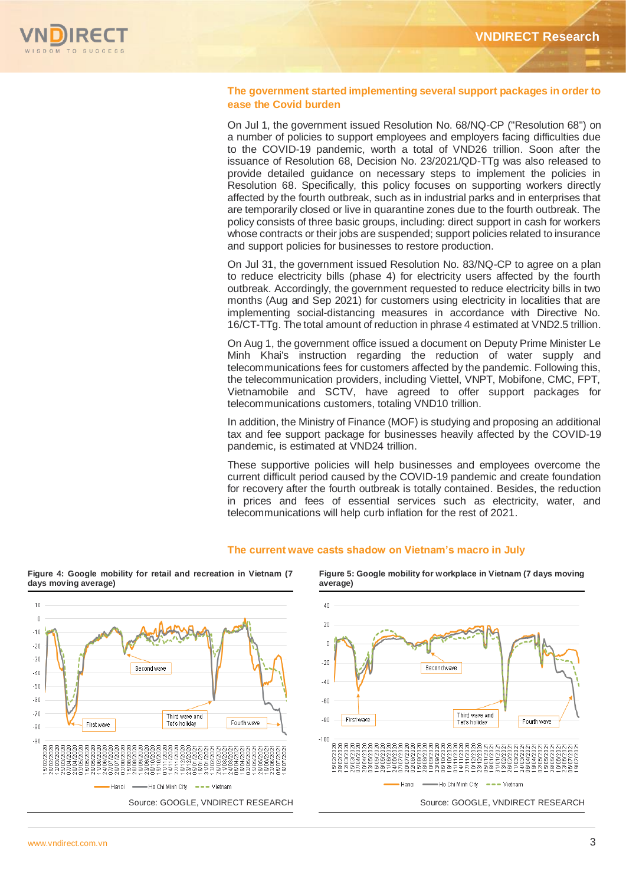

# **The government started implementing several support packages in order to ease the Covid burden**

On Jul 1, the government issued Resolution No. 68/NQ-CP ("Resolution 68") on a number of policies to support employees and employers facing difficulties due to the COVID-19 pandemic, worth a total of VND26 trillion. Soon after the issuance of Resolution 68, Decision No. 23/2021/QD-TTg was also released to provide detailed guidance on necessary steps to implement the policies in Resolution 68. Specifically, this policy focuses on supporting workers directly affected by the fourth outbreak, such as in industrial parks and in enterprises that are temporarily closed or live in quarantine zones due to the fourth outbreak. The policy consists of three basic groups, including: direct support in cash for workers whose contracts or their jobs are suspended; support policies related to insurance and support policies for businesses to restore production.

On Jul 31, the government issued Resolution No. 83/NQ-CP to agree on a plan to reduce electricity bills (phase 4) for electricity users affected by the fourth outbreak. Accordingly, the government requested to reduce electricity bills in two months (Aug and Sep 2021) for customers using electricity in localities that are implementing social-distancing measures in accordance with Directive No. 16/CT-TTg. The total amount of reduction in phrase 4 estimated at VND2.5 trillion.

On Aug 1, the government office issued a document on Deputy Prime Minister Le Minh Khai's instruction regarding the reduction of water supply and telecommunications fees for customers affected by the pandemic. Following this, the telecommunication providers, including Viettel, VNPT, Mobifone, CMC, FPT, Vietnamobile and SCTV, have agreed to offer support packages for telecommunications customers, totaling VND10 trillion.

In addition, the Ministry of Finance (MOF) is studying and proposing an additional tax and fee support package for businesses heavily affected by the COVID-19 pandemic, is estimated at VND24 trillion.

These supportive policies will help businesses and employees overcome the current difficult period caused by the COVID-19 pandemic and create foundation for recovery after the fourth outbreak is totally contained. Besides, the reduction in prices and fees of essential services such as electricity, water, and telecommunications will help curb inflation for the rest of 2021.



**The current wave casts shadow on Vietnam's macro in July**

**average)**  $40$  $20$  $\overline{0}$  $-20$ Second wave  $-40$  $-60$ Third wave and  $-80$ First wave Tet's holiday Fourth wave  $-100$ à è ē - Ho Chi Minh City - - - Vietnam Hanoi Source: GOOGLE, VNDIRECT RESEARCH Source: GOOGLE, VNDIRECT RESEARCH

**Figure 5: Google mobility for workplace in Vietnam (7 days moving** 

**Figure 4: Google mobility for retail and recreation in Vietnam (7 days moving average)**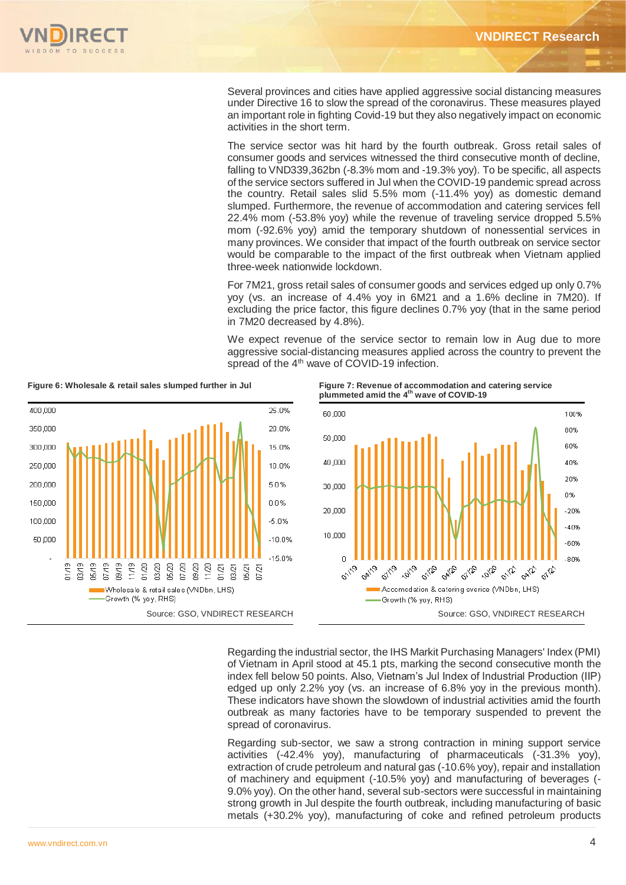

Several provinces and cities have applied aggressive social distancing measures under Directive 16 to slow the spread of the coronavirus. These measures played an important role in fighting Covid-19 but they also negatively impact on economic activities in the short term.

The service sector was hit hard by the fourth outbreak. Gross retail sales of consumer goods and services witnessed the third consecutive month of decline, falling to VND339,362bn (-8.3% mom and -19.3% yoy). To be specific, all aspects of the service sectors suffered in Jul when the COVID-19 pandemic spread across the country. Retail sales slid 5.5% mom (-11.4% yoy) as domestic demand slumped. Furthermore, the revenue of accommodation and catering services fell 22.4% mom (-53.8% yoy) while the revenue of traveling service dropped 5.5% mom (-92.6% yoy) amid the temporary shutdown of nonessential services in many provinces. We consider that impact of the fourth outbreak on service sector would be comparable to the impact of the first outbreak when Vietnam applied three-week nationwide lockdown.

For 7M21, gross retail sales of consumer goods and services edged up only 0.7% yoy (vs. an increase of 4.4% yoy in 6M21 and a 1.6% decline in 7M20). If excluding the price factor, this figure declines 0.7% yoy (that in the same period in 7M20 decreased by 4.8%).

We expect revenue of the service sector to remain low in Aug due to more aggressive social-distancing measures applied across the country to prevent the spread of the 4<sup>th</sup> wave of COVID-19 infection.



Figure 6: Wholesale & retail sales slumped further in Jul Figure 7: Revenue of accommodation and catering service **plummeted amid the 4 th wave of COVID-19** 



Regarding the industrial sector, the IHS Markit Purchasing Managers' Index (PMI) of Vietnam in April stood at 45.1 pts, marking the second consecutive month the index fell below 50 points. Also, Vietnam's Jul Index of Industrial Production (IIP) edged up only 2.2% yoy (vs. an increase of 6.8% yoy in the previous month). These indicators have shown the slowdown of industrial activities amid the fourth outbreak as many factories have to be temporary suspended to prevent the spread of coronavirus.

Regarding sub-sector, we saw a strong contraction in mining support service activities (-42.4% yoy), manufacturing of pharmaceuticals (-31.3% yoy), extraction of crude petroleum and natural gas (-10.6% yoy), repair and installation of machinery and equipment (-10.5% yoy) and manufacturing of beverages (- 9.0% yoy). On the other hand, several sub-sectors were successful in maintaining strong growth in Jul despite the fourth outbreak, including manufacturing of basic metals (+30.2% yoy), manufacturing of coke and refined petroleum products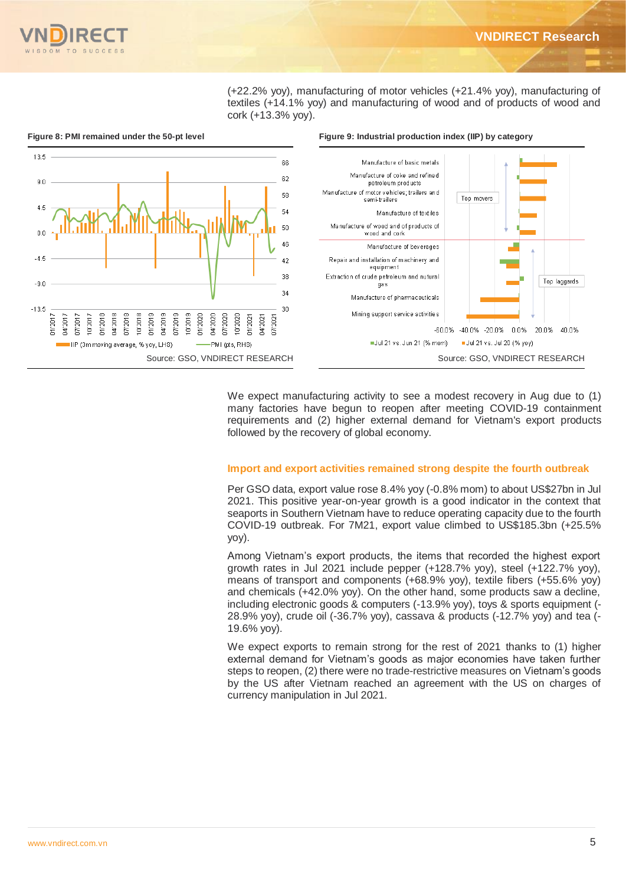

(+22.2% yoy), manufacturing of motor vehicles (+21.4% yoy), manufacturing of textiles (+14.1% yoy) and manufacturing of wood and of products of wood and cork (+13.3% yoy).



We expect manufacturing activity to see a modest recovery in Aug due to (1) many factories have begun to reopen after meeting COVID-19 containment requirements and (2) higher external demand for Vietnam's export products followed by the recovery of global economy.

# **Import and export activities remained strong despite the fourth outbreak**

Per GSO data, export value rose 8.4% yoy (-0.8% mom) to about US\$27bn in Jul 2021. This positive year-on-year growth is a good indicator in the context that seaports in Southern Vietnam have to reduce operating capacity due to the fourth COVID-19 outbreak. For 7M21, export value climbed to US\$185.3bn (+25.5% yoy).

Among Vietnam's export products, the items that recorded the highest export growth rates in Jul 2021 include pepper (+128.7% yoy), steel (+122.7% yoy), means of transport and components (+68.9% yoy), textile fibers (+55.6% yoy) and chemicals (+42.0% yoy). On the other hand, some products saw a decline, including electronic goods & computers (-13.9% yoy), toys & sports equipment (- 28.9% yoy), crude oil (-36.7% yoy), cassava & products (-12.7% yoy) and tea (- 19.6% yoy).

We expect exports to remain strong for the rest of 2021 thanks to (1) higher external demand for Vietnam's goods as major economies have taken further steps to reopen, (2) there were no trade-restrictive measures on Vietnam's goods by the US after Vietnam reached an agreement with the US on charges of currency manipulation in Jul 2021.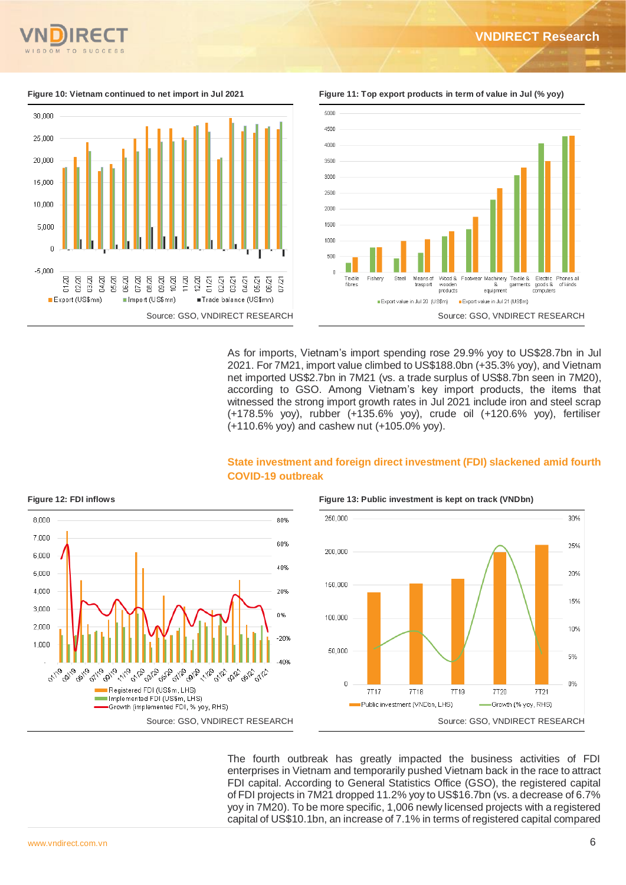



**Figure 10: Vietnam continued to net import in Jul 2021 Figure 11: Top export products in term of value in Jul (% yoy)**



As for imports, Vietnam's import spending rose 29.9% yoy to US\$28.7bn in Jul 2021. For 7M21, import value climbed to US\$188.0bn (+35.3% yoy), and Vietnam net imported US\$2.7bn in 7M21 (vs. a trade surplus of US\$8.7bn seen in 7M20), according to GSO. Among Vietnam's key import products, the items that witnessed the strong import growth rates in Jul 2021 include iron and steel scrap (+178.5% yoy), rubber (+135.6% yoy), crude oil (+120.6% yoy), fertiliser (+110.6% yoy) and cashew nut (+105.0% yoy).





**Figure 12: FDI inflows Figure 13: Public investment is kept on track (VNDbn)**



The fourth outbreak has greatly impacted the business activities of FDI enterprises in Vietnam and temporarily pushed Vietnam back in the race to attract FDI capital. According to General Statistics Office (GSO), the registered capital of FDI projects in 7M21 dropped 11.2% yoy to US\$16.7bn (vs. a decrease of 6.7% yoy in 7M20). To be more specific, 1,006 newly licensed projects with a registered capital of US\$10.1bn, an increase of 7.1% in terms of registered capital compared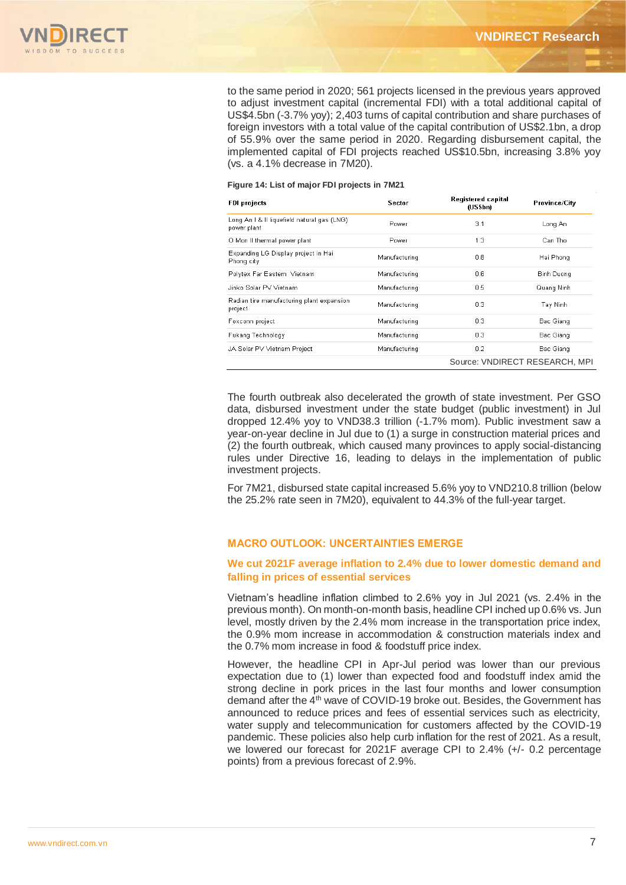

to the same period in 2020; 561 projects licensed in the previous years approved to adjust investment capital (incremental FDI) with a total additional capital of US\$4.5bn (-3.7% yoy); 2,403 turns of capital contribution and share purchases of foreign investors with a total value of the capital contribution of US\$2.1bn, a drop of 55.9% over the same period in 2020. Regarding disbursement capital, the implemented capital of FDI projects reached US\$10.5bn, increasing 3.8% yoy (vs. a 4.1% decrease in 7M20).

### **Figure 14: List of major FDI projects in 7M21**

| <b>FDI</b> projects                                        | Sector        | Registered capital<br>(US\$bn) | Province/City                  |
|------------------------------------------------------------|---------------|--------------------------------|--------------------------------|
| Long An I & II liquefield natural gas (LNG)<br>power plant | Power         | 3.1                            | Long An                        |
| O Mon II thermal power plant                               | Power         | 1.3                            | Can Tho                        |
| Expanding LG Display project in Hai<br>Phong city          | Manufacturing | 0.8                            | Hai Phong                      |
| Polytex Far Eastern Vietnam                                | Manufacturing | 0.6                            | Binh Duong                     |
| Jinko Solar PV Vietnam                                     | Manufacturing | 0.5                            | Quang Ninh                     |
| Radian tire manufacturing plant expansion<br>project       | Manufacturing | 0.3                            | Tay Ninh                       |
| Foxconn project                                            | Manufacturing | 0.3                            | Bac Giang                      |
| Fukang Technology                                          | Manufacturing | 0.3                            | Bac Giang                      |
| JA Solar PV Vietnam Project                                | Manufacturing | 0.2                            | Bac Giang                      |
|                                                            |               |                                | Source: VNDIRECT RESEARCH, MPI |

The fourth outbreak also decelerated the growth of state investment. Per GSO data, disbursed investment under the state budget (public investment) in Jul dropped 12.4% yoy to VND38.3 trillion (-1.7% mom). Public investment saw a year-on-year decline in Jul due to (1) a surge in construction material prices and (2) the fourth outbreak, which caused many provinces to apply social-distancing rules under Directive 16, leading to delays in the implementation of public investment projects.

For 7M21, disbursed state capital increased 5.6% yoy to VND210.8 trillion (below the 25.2% rate seen in 7M20), equivalent to 44.3% of the full-year target.

# MACRO OUTLOOK: UNCERTAINTIES EMERGE

# **We cut 2021F average inflation to 2.4% due to lower domestic demand and falling in prices of essential services**

Vietnam's headline inflation climbed to 2.6% yoy in Jul 2021 (vs. 2.4% in the previous month). On month-on-month basis, headline CPI inched up 0.6% vs. Jun level, mostly driven by the 2.4% mom increase in the transportation price index, the 0.9% mom increase in accommodation & construction materials index and the 0.7% mom increase in food & foodstuff price index.

However, the headline CPI in Apr-Jul period was lower than our previous expectation due to (1) lower than expected food and foodstuff index amid the strong decline in pork prices in the last four months and lower consumption demand after the 4<sup>th</sup> wave of COVID-19 broke out. Besides, the Government has announced to reduce prices and fees of essential services such as electricity, water supply and telecommunication for customers affected by the COVID-19 pandemic. These policies also help curb inflation for the rest of 2021. As a result, we lowered our forecast for 2021F average CPI to 2.4% (+/- 0.2 percentage points) from a previous forecast of 2.9%.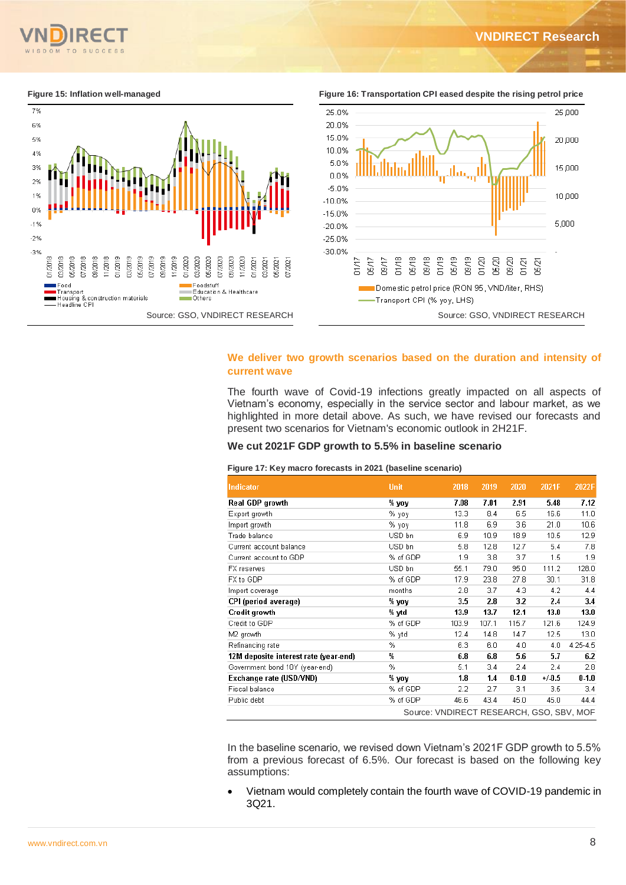15 ροο

10,000

5,000



**Figure 15: Inflation well-managed Figure 16: Transportation CPI eased despite the rising petrol price**  25.0% 25,000 20.0% 15.0% 20,000 10.0%

سمىلل

 $01/20$ 05/20 09/20

Domestic petrol price (RON 95, VND/liter, RHS)

 $01/21$ 

05/21

# **We deliver two growth scenarios based on the duration and intensity of current wave**

-Transport CPI (% yoy, LHS)

 $01/18$ 05/18  $09/18$  $01/19$ 05/19  $09/19$ 

The fourth wave of Covid-19 infections greatly impacted on all aspects of Vietnam's economy, especially in the service sector and labour market, as we highlighted in more detail above. As such, we have revised our forecasts and present two scenarios for Vietnam's economic outlook in 2H21F.

## **We cut 2021F GDP growth to 5.5% in baseline scenario**

### **Figure 17: Key macro forecasts in 2021 (baseline scenario)**

5.0%

0.0%

 $-5.0%$ 

 $-10.0%$ 

 $-15.0%$ 

 $-20.0%$ 

 $-25.0%$  $-30.0%$ 

 $01/17$ 

05/17  $5000$ 

| Indicator                             | <b>Unit</b> | 2018                                     | 2019  | 2020  | 2021F   | 2022F             |
|---------------------------------------|-------------|------------------------------------------|-------|-------|---------|-------------------|
| Real GDP growth                       | % yoy       | 7.08                                     | 7.01  | 2.91  | 5.48    | 7.12              |
| Export growth                         | % yoy       | 13.3                                     | 8.4   | 6.5   | 16.6    | 11.0              |
| Import growth                         | % γογ       | 11.8                                     | 6.9   | 3.6   | 21.0    | 10.6              |
| Trade balance                         | USD bn      | 6.9                                      | 10.9  | 18.9  | 10.5    | 12.9              |
| Current account balance               | USD bn      | 5.8                                      | 12.8  | 12.7  | 5.4     | 7.8               |
| Current account to GDP                | % of GDP    | 1.9                                      | 3.8   | 3.7   | 1.5     | 1.9               |
| FX reserves                           | USD bn      | 55.1                                     | 79.0  | 95.0  | 111.2   | 128.0             |
| FX to GDP                             | % of GDP    | 17.9                                     | 23.8  | 27.8  | 30.1    | 31.8              |
| Import coverage                       | months      | 2.8                                      | 3.7   | 4.3   | 4.2     | 4.4               |
| CPI (period average)                  | % yoy       | 3.5                                      | 2.8   | 3.2   | 2.4     | 3.4               |
| Credit growth                         | % ytd       | 13.9                                     | 13.7  | 12.1  | 13.0    | 13.0              |
| Credit to GDP                         | % of GDP    | 103.9                                    | 107.1 | 115.7 | 121.6   | 124.9             |
| M2 growth                             | % ytd       | 12.4                                     | 14.8  | 14.7  | 12.5    | 13.0 <sub>1</sub> |
| Refinancing rate                      | %           | 6.3                                      | 6.0   | 4.0   | 4.0     | 4.25-4.5          |
| 12M deposite interest rate (year-end) | ₩           | 6.8                                      | 6.8   | 5.6   | 5.7     | 6.2               |
| Government bond 10Y (year-end)        | %           | 5.1                                      | 3.4   | 2.4   | 2.4     | 2.8               |
| Exchange rate (USD/VND)               | % yoy       | 1.8                                      | 1.4   | 0.1.0 | $+/0.5$ | 0.1.0             |
| Fiscal balance                        | % of GDP    | 2.2                                      | 2.7   | 3.1   | 3.5     | 3.4               |
| Public debt                           | % of GDP    | 46.6                                     | 43.4  | 45.0  | 45.0    | 44.4              |
|                                       |             | Source: VNDIRECT RESEARCH, GSO, SBV, MOF |       |       |         |                   |

In the baseline scenario, we revised down Vietnam's 2021F GDP growth to 5.5% from a previous forecast of 6.5%. Our forecast is based on the following key assumptions:

 Vietnam would completely contain the fourth wave of COVID-19 pandemic in 3Q21.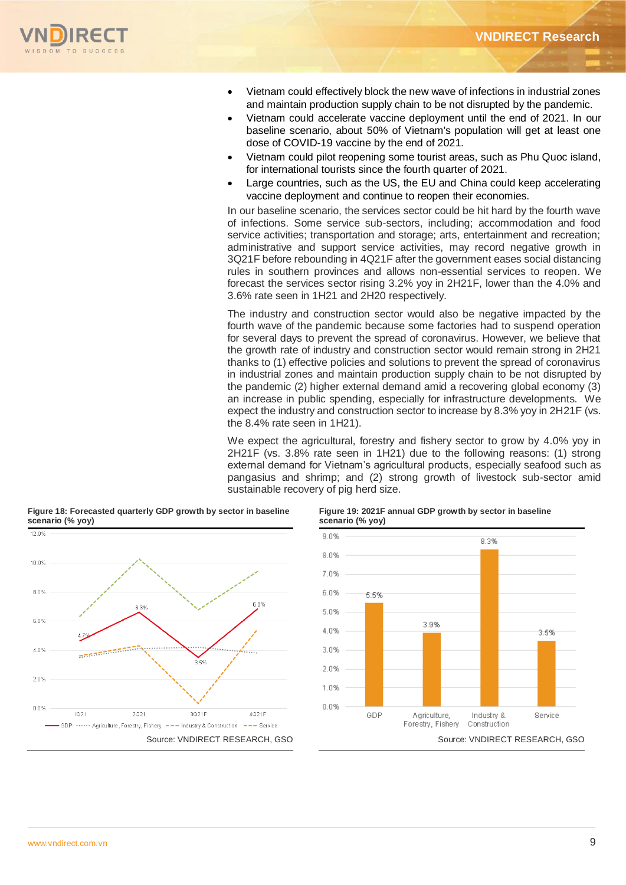

- Vietnam could effectively block the new wave of infections in industrial zones and maintain production supply chain to be not disrupted by the pandemic.
- Vietnam could accelerate vaccine deployment until the end of 2021. In our baseline scenario, about 50% of Vietnam's population will get at least one dose of COVID-19 vaccine by the end of 2021.
- Vietnam could pilot reopening some tourist areas, such as Phu Quoc island, for international tourists since the fourth quarter of 2021.
- Large countries, such as the US, the EU and China could keep accelerating vaccine deployment and continue to reopen their economies.

In our baseline scenario, the services sector could be hit hard by the fourth wave of infections. Some service sub-sectors, including; accommodation and food service activities; transportation and storage; arts, entertainment and recreation; administrative and support service activities, may record negative growth in 3Q21F before rebounding in 4Q21F after the government eases social distancing rules in southern provinces and allows non-essential services to reopen. We forecast the services sector rising 3.2% yoy in 2H21F, lower than the 4.0% and 3.6% rate seen in 1H21 and 2H20 respectively.

The industry and construction sector would also be negative impacted by the fourth wave of the pandemic because some factories had to suspend operation for several days to prevent the spread of coronavirus. However, we believe that the growth rate of industry and construction sector would remain strong in 2H21 thanks to (1) effective policies and solutions to prevent the spread of coronavirus in industrial zones and maintain production supply chain to be not disrupted by the pandemic (2) higher external demand amid a recovering global economy (3) an increase in public spending, especially for infrastructure developments. We expect the industry and construction sector to increase by 8.3% yoy in 2H21F (vs. the 8.4% rate seen in 1H21).

We expect the agricultural, forestry and fishery sector to grow by 4.0% yoy in 2H21F (vs. 3.8% rate seen in 1H21) due to the following reasons: (1) strong external demand for Vietnam's agricultural products, especially seafood such as pangasius and shrimp; and (2) strong growth of livestock sub-sector amid sustainable recovery of pig herd size.



## **Figure 18: Forecasted quarterly GDP growth by sector in baseline scenario (% yoy)**

## **Figure 19: 2021F annual GDP growth by sector in baseline scenario (% yoy)**

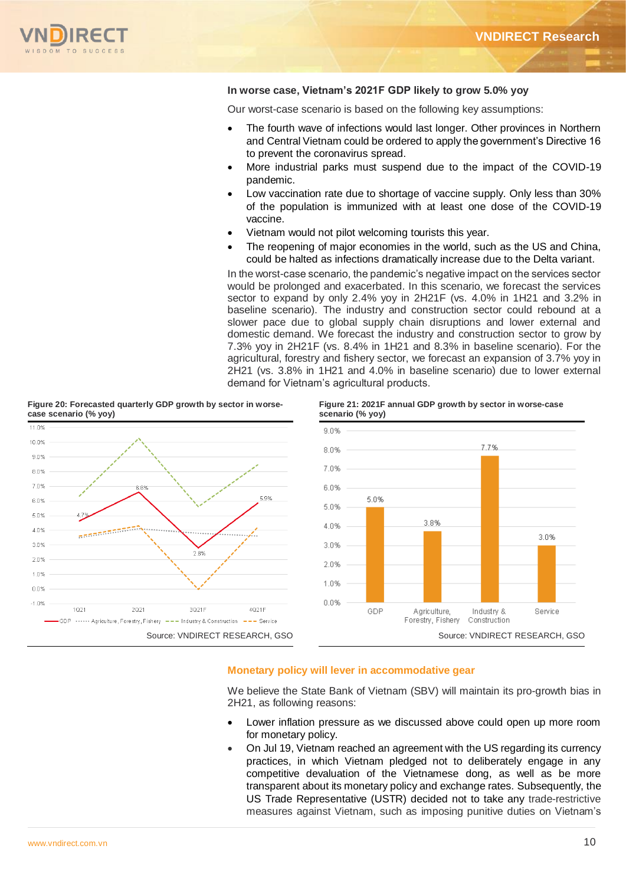

# **In worse case, Vietnam's 2021F GDP likely to grow 5.0% yoy**

Our worst-case scenario is based on the following key assumptions:

- The fourth wave of infections would last longer. Other provinces in Northern and Central Vietnam could be ordered to apply the government's Directive 16 to prevent the coronavirus spread.
- More industrial parks must suspend due to the impact of the COVID-19 pandemic.
- Low vaccination rate due to shortage of vaccine supply. Only less than 30% of the population is immunized with at least one dose of the COVID-19 vaccine.
- Vietnam would not pilot welcoming tourists this year.
- The reopening of major economies in the world, such as the US and China, could be halted as infections dramatically increase due to the Delta variant.

In the worst-case scenario, the pandemic's negative impact on the services sector would be prolonged and exacerbated. In this scenario, we forecast the services sector to expand by only 2.4% yoy in 2H21F (vs. 4.0% in 1H21 and 3.2% in baseline scenario). The industry and construction sector could rebound at a slower pace due to global supply chain disruptions and lower external and domestic demand. We forecast the industry and construction sector to grow by 7.3% yoy in 2H21F (vs. 8.4% in 1H21 and 8.3% in baseline scenario). For the agricultural, forestry and fishery sector, we forecast an expansion of 3.7% yoy in 2H21 (vs. 3.8% in 1H21 and 4.0% in baseline scenario) due to lower external demand for Vietnam's agricultural products.

**Figure 21: 2021F annual GDP growth by sector in worse-case**



#### **Figure 20: Forecasted quarterly GDP growth by sector in worsecase scenario (% yoy)**

# **Monetary policy will lever in accommodative gear**

We believe the State Bank of Vietnam (SBV) will maintain its pro-growth bias in 2H21, as following reasons:

- Lower inflation pressure as we discussed above could open up more room for monetary policy.
- On Jul 19, Vietnam reached an agreement with the US regarding its currency practices, in which Vietnam pledged not to deliberately engage in any competitive devaluation of the Vietnamese dong, as well as be more transparent about its monetary policy and exchange rates. Subsequently, the US Trade Representative (USTR) decided not to take any trade-restrictive measures against Vietnam, such as imposing punitive duties on Vietnam's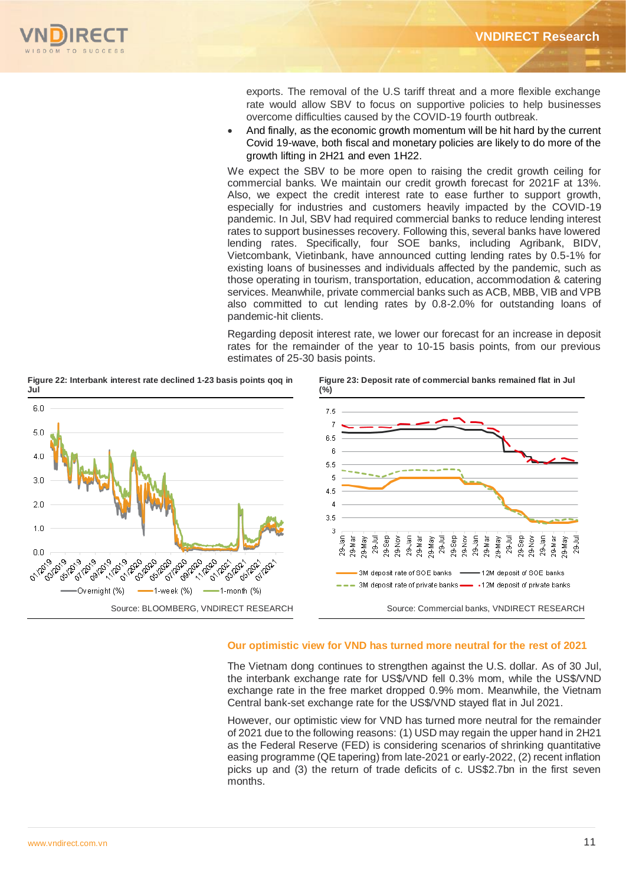

exports. The removal of the U.S tariff threat and a more flexible exchange rate would allow SBV to focus on supportive policies to help businesses overcome difficulties caused by the COVID-19 fourth outbreak.

 And finally, as the economic growth momentum will be hit hard by the current Covid 19-wave, both fiscal and monetary policies are likely to do more of the growth lifting in 2H21 and even 1H22.

We expect the SBV to be more open to raising the credit growth ceiling for commercial banks. We maintain our credit growth forecast for 2021F at 13%. Also, we expect the credit interest rate to ease further to support growth, especially for industries and customers heavily impacted by the COVID-19 pandemic. In Jul, SBV had required commercial banks to reduce lending interest rates to support businesses recovery. Following this, several banks have lowered lending rates. Specifically, four SOE banks, including Agribank, BIDV, Vietcombank, Vietinbank, have announced cutting lending rates by 0.5-1% for existing loans of businesses and individuals affected by the pandemic, such as those operating in tourism, transportation, education, accommodation & catering services. Meanwhile, private commercial banks such as ACB, MBB, VIB and VPB also committed to cut lending rates by 0.8-2.0% for outstanding loans of pandemic-hit clients.

Regarding deposit interest rate, we lower our forecast for an increase in deposit rates for the remainder of the year to 10-15 basis points, from our previous estimates of 25-30 basis points.



**Figure 22: Interbank interest rate declined 1-23 basis points qoq in** 

# **Our optimistic view for VND has turned more neutral for the rest of 2021**

The Vietnam dong continues to strengthen against the U.S. dollar. As of 30 Jul, the interbank exchange rate for US\$/VND fell 0.3% mom, while the US\$/VND exchange rate in the free market dropped 0.9% mom. Meanwhile, the Vietnam Central bank-set exchange rate for the US\$/VND stayed flat in Jul 2021.

However, our optimistic view for VND has turned more neutral for the remainder of 2021 due to the following reasons: (1) USD may regain the upper hand in 2H21 as the Federal Reserve (FED) is considering scenarios of shrinking quantitative easing programme (QE tapering) from late-2021 or early-2022, (2) recent inflation picks up and (3) the return of trade deficits of c. US\$2.7bn in the first seven months.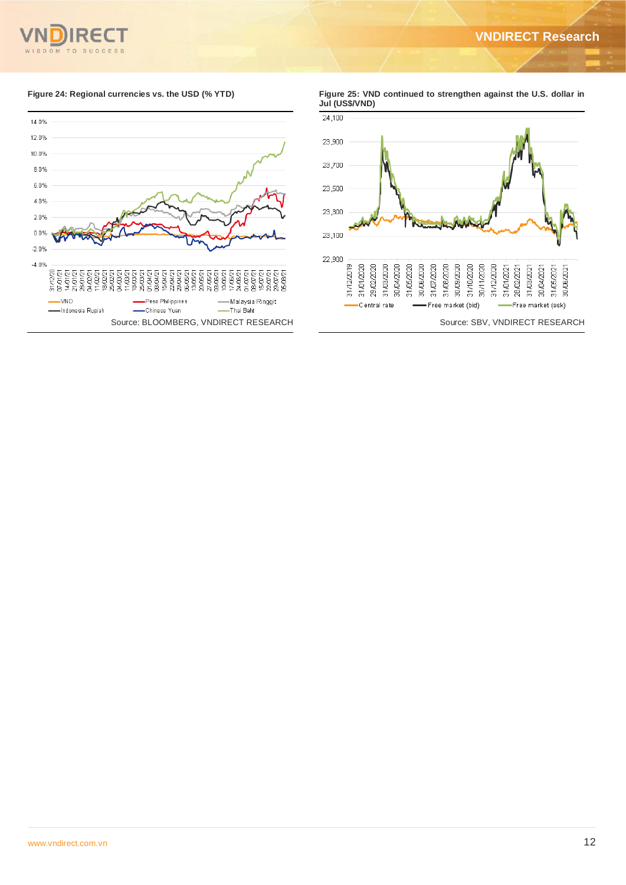

**Figure 24: Regional currencies vs. the USD (% YTD) Figure 25: VND continued to strengthen against the U.S. dollar in Jul (US\$/VND)**